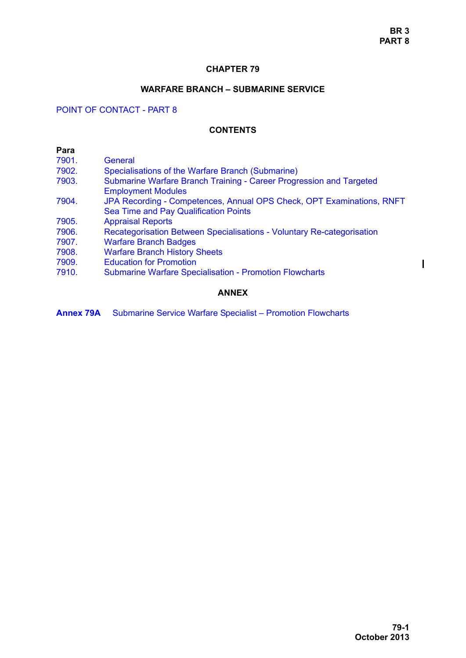### **CHAPTER 79**

## **WARFARE BRANCH – SUBMARINE SERVICE**

# POINT OF CONTACT - PART 8

#### **CONTENTS**

| Para  |                                                                                                                |
|-------|----------------------------------------------------------------------------------------------------------------|
| 7901. | General                                                                                                        |
| 7902. | Specialisations of the Warfare Branch (Submarine)                                                              |
| 7903. | Submarine Warfare Branch Training - Career Progression and Targeted<br><b>Employment Modules</b>               |
| 7904. | JPA Recording - Competences, Annual OPS Check, OPT Examinations, RNFT<br>Sea Time and Pay Qualification Points |
| 7905. | <b>Appraisal Reports</b>                                                                                       |
| 7906. | Recategorisation Between Specialisations - Voluntary Re-categorisation                                         |
| 7907. | <b>Warfare Branch Badges</b>                                                                                   |
| 7908. | <b>Warfare Branch History Sheets</b>                                                                           |
| 7909. | <b>Education for Promotion</b>                                                                                 |
| 7910. | <b>Submarine Warfare Specialisation - Promotion Flowcharts</b>                                                 |
|       | <b>ANNEX</b>                                                                                                   |

**Annex 79A** Submarine Service Warfare Specialist – Promotion Flowcharts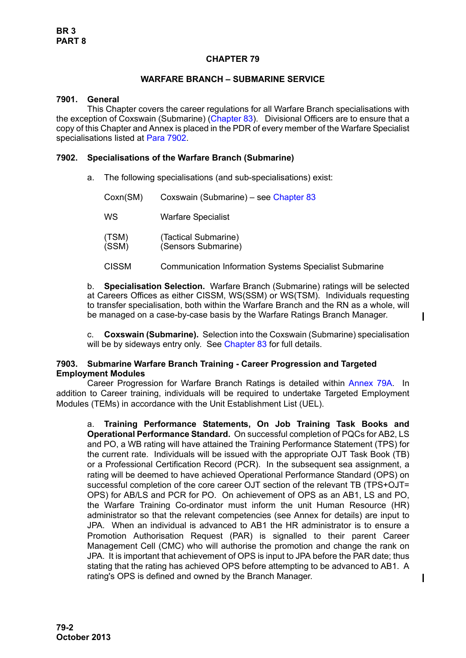# **CHAPTER 79**

### **WARFARE BRANCH – SUBMARINE SERVICE**

#### <span id="page-1-0"></span>**7901. General**

This Chapter covers the career regulations for all Warfare Branch specialisations with the exception of Coxswain (Submarine) (Chapter 83). Divisional Officers are to ensure that a copy of this Chapter and Annex is placed in the PDR of every member of the Warfare Specialist specialisations listed at [Para 7902](#page-1-1).

### <span id="page-1-1"></span>**7902. Specialisations of the Warfare Branch (Submarine)**

a. The following specialisations (and sub-specialisations) exist:

| Coxn(SM)       | Coxswain (Submarine) – see Chapter 83                         |
|----------------|---------------------------------------------------------------|
| WS             | <b>Warfare Specialist</b>                                     |
| (TSM)<br>(SSM) | (Tactical Submarine)<br>(Sensors Submarine)                   |
| <b>CISSM</b>   | <b>Communication Information Systems Specialist Submarine</b> |

b. **Specialisation Selection.** Warfare Branch (Submarine) ratings will be selected at Careers Offices as either CISSM, WS(SSM) or WS(TSM). Individuals requesting to transfer specialisation, both within the Warfare Branch and the RN as a whole, will be managed on a case-by-case basis by the Warfare Ratings Branch Manager.

c. **Coxswain (Submarine).** Selection into the Coxswain (Submarine) specialisation will be by sideways entry only. See Chapter 83 for full details.

### <span id="page-1-2"></span>**7903. Submarine Warfare Branch Training - Career Progression and Targeted Employment Modules**

Career Progression for Warfare Branch Ratings is detailed within Annex 79A. In addition to Career training, individuals will be required to undertake Targeted Employment Modules (TEMs) in accordance with the Unit Establishment List (UEL).

a. **Training Performance Statements, On Job Training Task Books and Operational Performance Standard.** On successful completion of PQCs for AB2, LS and PO, a WB rating will have attained the Training Performance Statement (TPS) for the current rate. Individuals will be issued with the appropriate OJT Task Book (TB) or a Professional Certification Record (PCR). In the subsequent sea assignment, a rating will be deemed to have achieved Operational Performance Standard (OPS) on successful completion of the core career OJT section of the relevant TB (TPS+OJT= OPS) for AB/LS and PCR for PO. On achievement of OPS as an AB1, LS and PO, the Warfare Training Co-ordinator must inform the unit Human Resource (HR) administrator so that the relevant competencies (see Annex for details) are input to JPA. When an individual is advanced to AB1 the HR administrator is to ensure a Promotion Authorisation Request (PAR) is signalled to their parent Career Management Cell (CMC) who will authorise the promotion and change the rank on JPA. It is important that achievement of OPS is input to JPA before the PAR date; thus stating that the rating has achieved OPS before attempting to be advanced to AB1. A rating's OPS is defined and owned by the Branch Manager.

 $\mathbf I$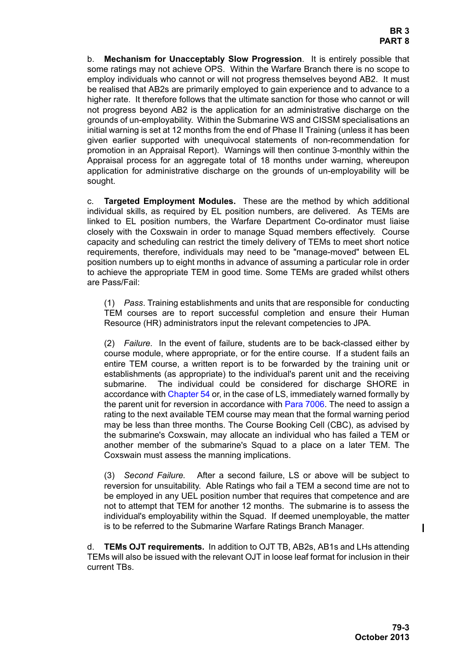b. **Mechanism for Unacceptably Slow Progression**. It is entirely possible that some ratings may not achieve OPS. Within the Warfare Branch there is no scope to employ individuals who cannot or will not progress themselves beyond AB2. It must be realised that AB2s are primarily employed to gain experience and to advance to a higher rate. It therefore follows that the ultimate sanction for those who cannot or will not progress beyond AB2 is the application for an administrative discharge on the grounds of un-employability. Within the Submarine WS and CISSM specialisations an initial warning is set at 12 months from the end of Phase II Training (unless it has been given earlier supported with unequivocal statements of non-recommendation for promotion in an Appraisal Report). Warnings will then continue 3-monthly within the Appraisal process for an aggregate total of 18 months under warning, whereupon application for administrative discharge on the grounds of un-employability will be sought.

c. **Targeted Employment Modules.** These are the method by which additional individual skills, as required by EL position numbers, are delivered. As TEMs are linked to EL position numbers, the Warfare Department Co-ordinator must liaise closely with the Coxswain in order to manage Squad members effectively. Course capacity and scheduling can restrict the timely delivery of TEMs to meet short notice requirements, therefore, individuals may need to be "manage-moved" between EL position numbers up to eight months in advance of assuming a particular role in order to achieve the appropriate TEM in good time. Some TEMs are graded whilst others are Pass/Fail:

(1) *Pass*. Training establishments and units that are responsible for conducting TEM courses are to report successful completion and ensure their Human Resource (HR) administrators input the relevant competencies to JPA.

(2) *Failure*. In the event of failure, students are to be back-classed either by course module, where appropriate, or for the entire course. If a student fails an entire TEM course, a written report is to be forwarded by the training unit or establishments (as appropriate) to the individual's parent unit and the receiving submarine. The individual could be considered for discharge SHORE in accordance with Chapter 54 or, in the case of LS, immediately warned formally by the parent unit for reversion in accordance with Para 7006. The need to assign a rating to the next available TEM course may mean that the formal warning period may be less than three months. The Course Booking Cell (CBC), as advised by the submarine's Coxswain, may allocate an individual who has failed a TEM or another member of the submarine's Squad to a place on a later TEM. The Coxswain must assess the manning implications.

(3) *Second Failure.* After a second failure, LS or above will be subject to reversion for unsuitability. Able Ratings who fail a TEM a second time are not to be employed in any UEL position number that requires that competence and are not to attempt that TEM for another 12 months. The submarine is to assess the individual's employability within the Squad. If deemed unemployable, the matter is to be referred to the Submarine Warfare Ratings Branch Manager.

d. **TEMs OJT requirements.** In addition to OJT TB, AB2s, AB1s and LHs attending TEMs will also be issued with the relevant OJT in loose leaf format for inclusion in their current TBs.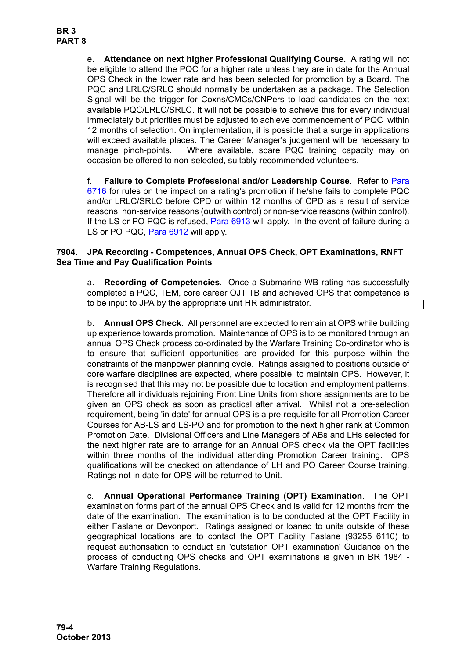e. **Attendance on next higher Professional Qualifying Course.** A rating will not be eligible to attend the PQC for a higher rate unless they are in date for the Annual OPS Check in the lower rate and has been selected for promotion by a Board. The PQC and LRLC/SRLC should normally be undertaken as a package. The Selection Signal will be the trigger for Coxns/CMCs/CNPers to load candidates on the next available PQC/LRLC/SRLC. It will not be possible to achieve this for every individual immediately but priorities must be adjusted to achieve commencement of PQC within 12 months of selection. On implementation, it is possible that a surge in applications will exceed available places. The Career Manager's judgement will be necessary to manage pinch-points. Where available, spare PQC training capacity may on occasion be offered to non-selected, suitably recommended volunteers.

f. **Failure to Complete Professional and/or Leadership Course**. Refer to Para 6716 for rules on the impact on a rating's promotion if he/she fails to complete PQC and/or LRLC/SRLC before CPD or within 12 months of CPD as a result of service reasons, non-service reasons (outwith control) or non-service reasons (within control). If the LS or PO PQC is refused, Para 6913 will apply. In the event of failure during a LS or PO PQC, Para 6912 will apply.

# <span id="page-3-0"></span>**7904. JPA Recording - Competences, Annual OPS Check, OPT Examinations, RNFT Sea Time and Pay Qualification Points**

a. **Recording of Competencies**. Once a Submarine WB rating has successfully completed a PQC, TEM, core career OJT TB and achieved OPS that competence is to be input to JPA by the appropriate unit HR administrator.

b. **Annual OPS Check**. All personnel are expected to remain at OPS while building up experience towards promotion. Maintenance of OPS is to be monitored through an annual OPS Check process co-ordinated by the Warfare Training Co-ordinator who is to ensure that sufficient opportunities are provided for this purpose within the constraints of the manpower planning cycle. Ratings assigned to positions outside of core warfare disciplines are expected, where possible, to maintain OPS. However, it is recognised that this may not be possible due to location and employment patterns. Therefore all individuals rejoining Front Line Units from shore assignments are to be given an OPS check as soon as practical after arrival. Whilst not a pre-selection requirement, being 'in date' for annual OPS is a pre-requisite for all Promotion Career Courses for AB-LS and LS-PO and for promotion to the next higher rank at Common Promotion Date. Divisional Officers and Line Managers of ABs and LHs selected for the next higher rate are to arrange for an Annual OPS check via the OPT facilities within three months of the individual attending Promotion Career training. OPS qualifications will be checked on attendance of LH and PO Career Course training. Ratings not in date for OPS will be returned to Unit.

c. **Annual Operational Performance Training (OPT) Examination**. The OPT examination forms part of the annual OPS Check and is valid for 12 months from the date of the examination. The examination is to be conducted at the OPT Facility in either Faslane or Devonport. Ratings assigned or loaned to units outside of these geographical locations are to contact the OPT Facility Faslane (93255 6110) to request authorisation to conduct an 'outstation OPT examination' Guidance on the process of conducting OPS checks and OPT examinations is given in BR 1984 - Warfare Training Regulations.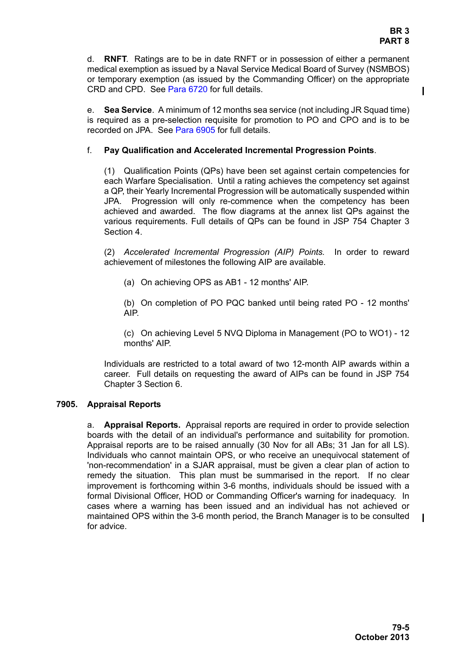$\mathbf I$ 

d. **RNFT**. Ratings are to be in date RNFT or in possession of either a permanent medical exemption as issued by a Naval Service Medical Board of Survey (NSMBOS) or temporary exemption (as issued by the Commanding Officer) on the appropriate CRD and CPD. See Para 6720 for full details.

e. **Sea Service**. A minimum of 12 months sea service (not including JR Squad time) is required as a pre-selection requisite for promotion to PO and CPO and is to be recorded on JPA. See Para 6905 for full details.

### f. **Pay Qualification and Accelerated Incremental Progression Points**.

(1) Qualification Points (QPs) have been set against certain competencies for each Warfare Specialisation. Until a rating achieves the competency set against a QP, their Yearly Incremental Progression will be automatically suspended within JPA. Progression will only re-commence when the competency has been achieved and awarded. The flow diagrams at the annex list QPs against the various requirements. Full details of QPs can be found in JSP 754 Chapter 3 Section 4.

(2) *Accelerated Incremental Progression (AIP) Points.* In order to reward achievement of milestones the following AIP are available.

(a) On achieving OPS as AB1 - 12 months' AIP.

(b) On completion of PO PQC banked until being rated PO - 12 months' AIP.

(c) On achieving Level 5 NVQ Diploma in Management (PO to WO1) - 12 months' AIP.

Individuals are restricted to a total award of two 12-month AIP awards within a career. Full details on requesting the award of AIPs can be found in JSP 754 Chapter 3 Section 6.

### <span id="page-4-0"></span>**7905. Appraisal Reports**

a. **Appraisal Reports.** Appraisal reports are required in order to provide selection boards with the detail of an individual's performance and suitability for promotion. Appraisal reports are to be raised annually (30 Nov for all ABs; 31 Jan for all LS). Individuals who cannot maintain OPS, or who receive an unequivocal statement of 'non-recommendation' in a SJAR appraisal, must be given a clear plan of action to remedy the situation. This plan must be summarised in the report. If no clear improvement is forthcoming within 3-6 months, individuals should be issued with a formal Divisional Officer, HOD or Commanding Officer's warning for inadequacy. In cases where a warning has been issued and an individual has not achieved or maintained OPS within the 3-6 month period, the Branch Manager is to be consulted for advice.